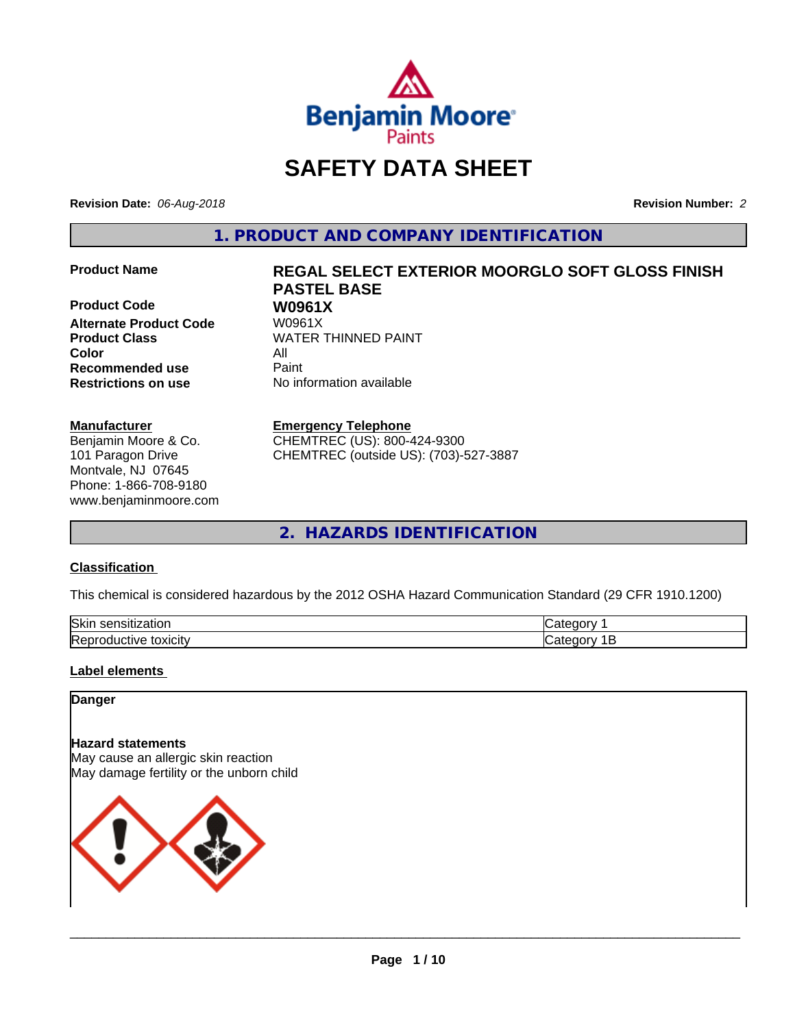

# **SAFETY DATA SHEET**

**Revision Date:** *06-Aug-2018* **Revision Number:** *2*

**1. PRODUCT AND COMPANY IDENTIFICATION**

**Product Code 61 W0961X**<br>Alternate Product Code 61 W0961X **Alternate Product Code Product Class WATER THINNED PAINT Color** All **Recommended use** Paint **Restrictions on use** No information available

#### **Manufacturer**

Benjamin Moore & Co. 101 Paragon Drive Montvale, NJ 07645 Phone: 1-866-708-9180 www.benjaminmoore.com

# **Product Name REGAL SELECT EXTERIOR MOORGLO SOFT GLOSS FINISH PASTEL BASE**

#### **Emergency Telephone**

CHEMTREC (US): 800-424-9300 CHEMTREC (outside US): (703)-527-3887

**2. HAZARDS IDENTIFICATION**

#### **Classification**

This chemical is considered hazardous by the 2012 OSHA Hazard Communication Standard (29 CFR 1910.1200)

| Skir<br>$ -$<br>-----<br>.<br>tior<br>יוור<br>$\mathbf{a}$ | -- - -- |
|------------------------------------------------------------|---------|
| toxicity<br><b>SIVE</b><br>-----<br>◡◠                     |         |

#### **Label elements**

#### **Danger**

#### **Hazard statements**

May cause an allergic skin reaction May damage fertility or the unborn child

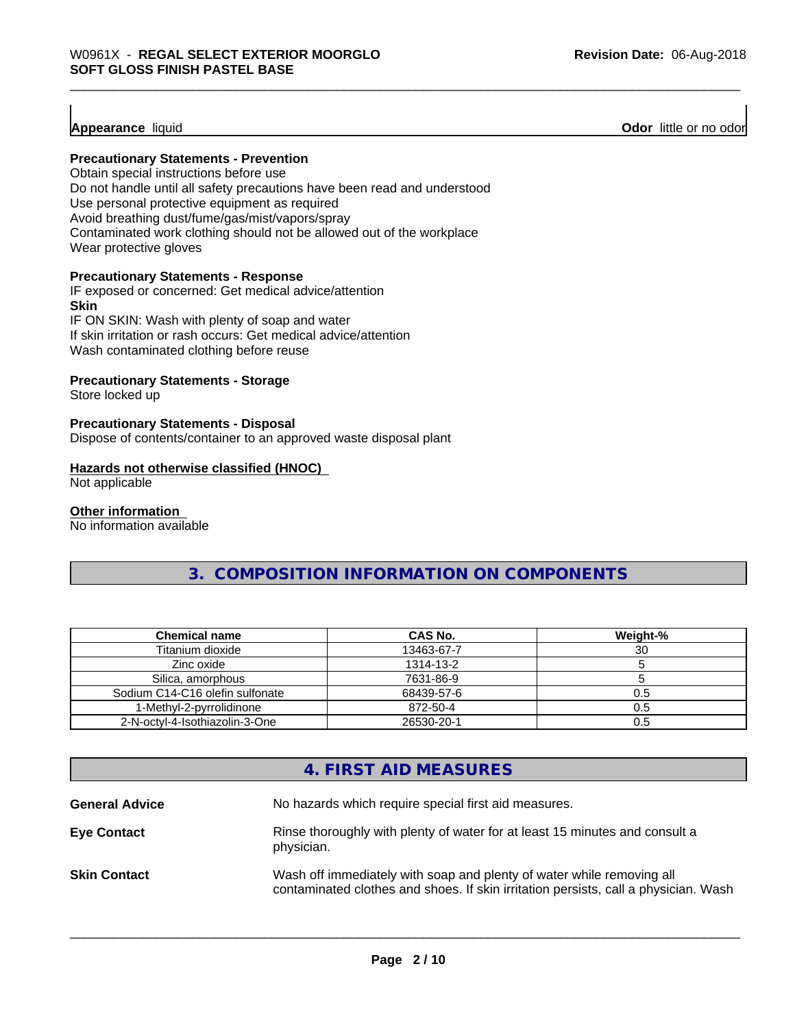**Appearance** liquid **Odor 11** Odor little or no odor

#### **Precautionary Statements - Prevention**

Obtain special instructions before use Do not handle until all safety precautions have been read and understood Use personal protective equipment as required Avoid breathing dust/fume/gas/mist/vapors/spray Contaminated work clothing should not be allowed out of the workplace Wear protective gloves

#### **Precautionary Statements - Response**

IF exposed or concerned: Get medical advice/attention **Skin** IF ON SKIN: Wash with plenty of soap and water If skin irritation or rash occurs: Get medical advice/attention

Wash contaminated clothing before reuse

#### **Precautionary Statements - Storage**

Store locked up

#### **Precautionary Statements - Disposal**

Dispose of contents/container to an approved waste disposal plant

#### **Hazards not otherwise classified (HNOC)**

Not applicable

#### **Other information**

No information available

### **3. COMPOSITION INFORMATION ON COMPONENTS**

| <b>Chemical name</b>            | CAS No.    | Weight-%         |
|---------------------------------|------------|------------------|
| Titanium dioxide                | 13463-67-7 | 30               |
| Zinc oxide                      | 1314-13-2  |                  |
| Silica, amorphous               | 7631-86-9  |                  |
| Sodium C14-C16 olefin sulfonate | 68439-57-6 | 0.5              |
| 1-Methyl-2-pyrrolidinone        | 872-50-4   | 0.5 <sub>2</sub> |
| 2-N-octyl-4-Isothiazolin-3-One  | 26530-20-1 | 0.5              |

## **4. FIRST AID MEASURES**

| <b>General Advice</b> | No hazards which require special first aid measures.                                                                                                         |
|-----------------------|--------------------------------------------------------------------------------------------------------------------------------------------------------------|
| <b>Eye Contact</b>    | Rinse thoroughly with plenty of water for at least 15 minutes and consult a<br>physician.                                                                    |
| <b>Skin Contact</b>   | Wash off immediately with soap and plenty of water while removing all<br>contaminated clothes and shoes. If skin irritation persists, call a physician. Wash |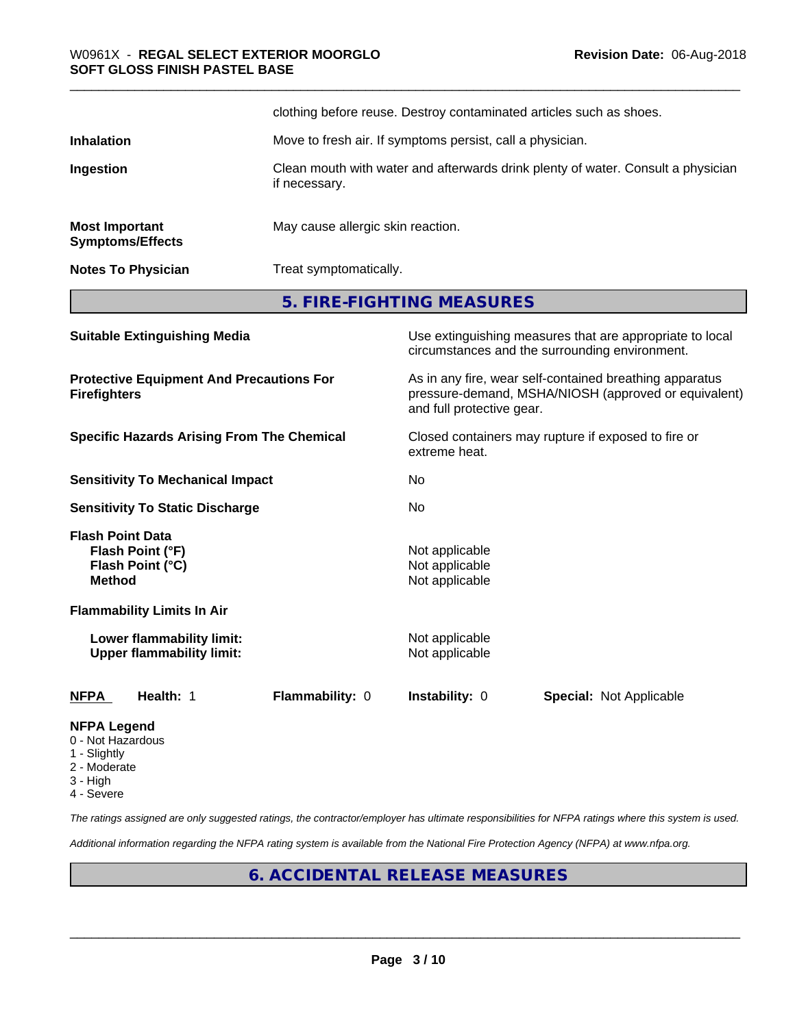|                                                  | clothing before reuse. Destroy contaminated articles such as shoes.                               |
|--------------------------------------------------|---------------------------------------------------------------------------------------------------|
| <b>Inhalation</b>                                | Move to fresh air. If symptoms persist, call a physician.                                         |
| Ingestion                                        | Clean mouth with water and afterwards drink plenty of water. Consult a physician<br>if necessary. |
| <b>Most Important</b><br><b>Symptoms/Effects</b> | May cause allergic skin reaction.                                                                 |
| <b>Notes To Physician</b>                        | Treat symptomatically.                                                                            |

**5. FIRE-FIGHTING MEASURES**

| <b>Suitable Extinguishing Media</b>                                              |                        |                                                    | Use extinguishing measures that are appropriate to local<br>circumstances and the surrounding environment.      |
|----------------------------------------------------------------------------------|------------------------|----------------------------------------------------|-----------------------------------------------------------------------------------------------------------------|
| <b>Protective Equipment And Precautions For</b><br><b>Firefighters</b>           |                        | and full protective gear.                          | As in any fire, wear self-contained breathing apparatus<br>pressure-demand, MSHA/NIOSH (approved or equivalent) |
| <b>Specific Hazards Arising From The Chemical</b>                                |                        | extreme heat.                                      | Closed containers may rupture if exposed to fire or                                                             |
| <b>Sensitivity To Mechanical Impact</b>                                          |                        | No.                                                |                                                                                                                 |
| <b>Sensitivity To Static Discharge</b>                                           |                        | No.                                                |                                                                                                                 |
| <b>Flash Point Data</b><br>Flash Point (°F)<br>Flash Point (°C)<br><b>Method</b> |                        | Not applicable<br>Not applicable<br>Not applicable |                                                                                                                 |
| <b>Flammability Limits In Air</b>                                                |                        |                                                    |                                                                                                                 |
| Lower flammability limit:<br><b>Upper flammability limit:</b>                    |                        | Not applicable<br>Not applicable                   |                                                                                                                 |
| <b>NFPA</b><br>Health: 1                                                         | <b>Flammability: 0</b> | <b>Instability: 0</b>                              | <b>Special: Not Applicable</b>                                                                                  |
| <b>NFPA Legend</b><br>0 - Not Hazardous                                          |                        |                                                    |                                                                                                                 |

- 1 Slightly
- 2 Moderate
- 3 High
- 
- 4 Severe

*The ratings assigned are only suggested ratings, the contractor/employer has ultimate responsibilities for NFPA ratings where this system is used.*

*Additional information regarding the NFPA rating system is available from the National Fire Protection Agency (NFPA) at www.nfpa.org.*

## **6. ACCIDENTAL RELEASE MEASURES**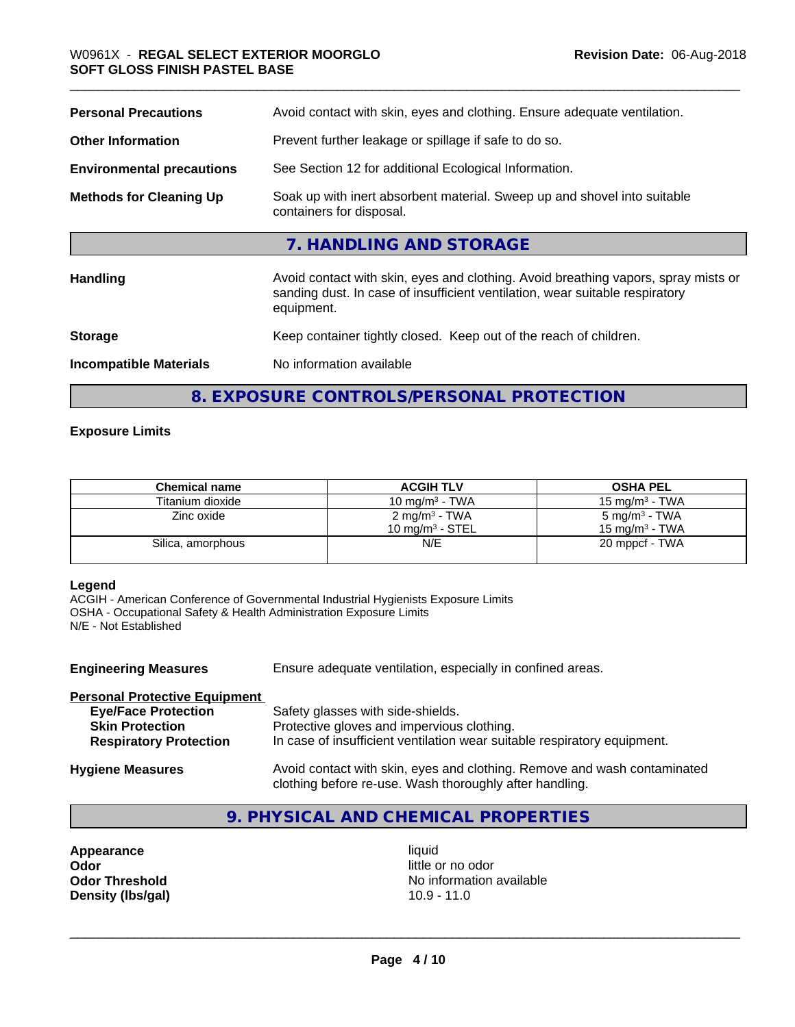| <b>Personal Precautions</b>      | Avoid contact with skin, eyes and clothing. Ensure adequate ventilation.                                                                                                         |
|----------------------------------|----------------------------------------------------------------------------------------------------------------------------------------------------------------------------------|
| <b>Other Information</b>         | Prevent further leakage or spillage if safe to do so.                                                                                                                            |
| <b>Environmental precautions</b> | See Section 12 for additional Ecological Information.                                                                                                                            |
| <b>Methods for Cleaning Up</b>   | Soak up with inert absorbent material. Sweep up and shovel into suitable<br>containers for disposal.                                                                             |
|                                  | 7. HANDLING AND STORAGE                                                                                                                                                          |
| Handling                         | Avoid contact with skin, eyes and clothing. Avoid breathing vapors, spray mists or<br>sanding dust. In case of insufficient ventilation, wear suitable respiratory<br>equipment. |
| <b>Storage</b>                   | Keep container tightly closed. Keep out of the reach of children.                                                                                                                |
| <b>Incompatible Materials</b>    | No information available                                                                                                                                                         |
|                                  |                                                                                                                                                                                  |

**8. EXPOSURE CONTROLS/PERSONAL PROTECTION**

#### **Exposure Limits**

| <b>Chemical name</b> | <b>ACGIH TLV</b>                                | <b>OSHA PEL</b>                                        |
|----------------------|-------------------------------------------------|--------------------------------------------------------|
| Titanium dioxide     | 10 mg/m $3$ - TWA                               | $15 \text{ mg/m}^3$ - TWA                              |
| Zinc oxide           | 2 mg/m <sup>3</sup> - TWA<br>10 mg/m $3$ - STEL | 5 mg/m <sup>3</sup> - TWA<br>$15 \text{ ma/m}^3$ - TWA |
| Silica, amorphous    | N/E                                             | 20 mppcf - TWA                                         |

#### **Legend**

ACGIH - American Conference of Governmental Industrial Hygienists Exposure Limits OSHA - Occupational Safety & Health Administration Exposure Limits N/E - Not Established

| <b>Engineering Measures</b>          | Ensure adequate ventilation, especially in confined areas.                                                                          |
|--------------------------------------|-------------------------------------------------------------------------------------------------------------------------------------|
| <b>Personal Protective Equipment</b> |                                                                                                                                     |
| <b>Eye/Face Protection</b>           | Safety glasses with side-shields.                                                                                                   |
| <b>Skin Protection</b>               | Protective gloves and impervious clothing.                                                                                          |
| <b>Respiratory Protection</b>        | In case of insufficient ventilation wear suitable respiratory equipment.                                                            |
| <b>Hygiene Measures</b>              | Avoid contact with skin, eyes and clothing. Remove and wash contaminated<br>clothing before re-use. Wash thoroughly after handling. |

## **9. PHYSICAL AND CHEMICAL PROPERTIES**

**Appearance** liquid<br> **Odor** little c **Odor Odor** little or no odor<br> **Odor Threshold Containery of the Containery of the Containery of the Containery of the Containery of the Contain Density (lbs/gal)** 

No information available<br>10.9 - 11.0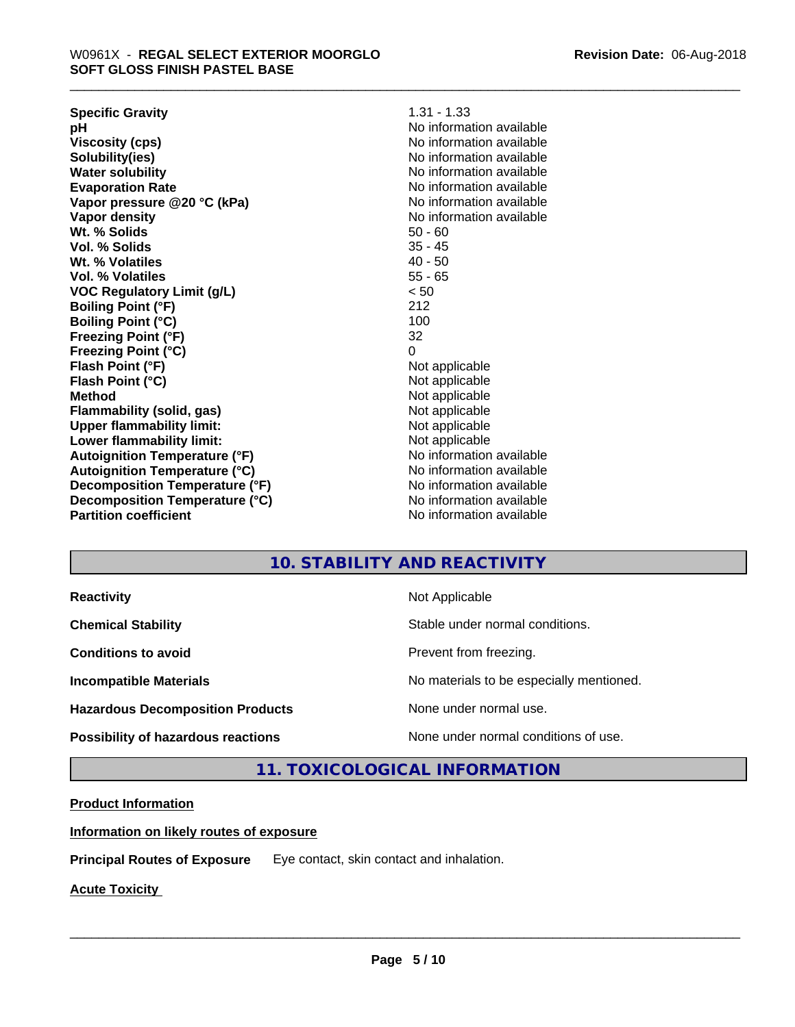**Specific Gravity** 1.31 - 1.33 **pH pH**  $\blacksquare$ **Viscosity (cps)** No information available **Solubility(ies)**<br> **Solubility**<br> **Water solubility**<br> **Water solubility Evaporation Rate No information available No information available Vapor pressure @20 °C (kPa)** No information available **Vapor density No information available No information available Wt.** % Solids 50 - 60 **Vol. % Solids** 35 - 45 **Wt. % Volatiles** 40 - 50 **Vol. % Volatiles** 55 - 65 **VOC Regulatory Limit (g/L)** < 50 **Boiling Point (°F) Boiling Point (°C)** 100 **Freezing Point (°F)** 32 **Freezing Point (°C)** 0 **Flash Point (°F)** Not applicable **Flash Point (°C)** Not applicable **Method** Not applicable **Flammability (solid, gas)** Not applicable **Upper flammability limit:** Not applicable **Lower flammability limit:** Not applicable **Autoignition Temperature (°F)**<br> **Autoignition Temperature (°C)** No information available **Autoignition Temperature (°C)**<br> **Decomposition Temperature (°F)** No information available **Decomposition Temperature (°F) Decomposition Temperature (°C)** No information available **Partition coefficient Contract Community No information available** 

**No information available** 

## **10. STABILITY AND REACTIVITY**

**Hazardous Decomposition Products** None under normal use.

**Reactivity** Not Applicable

**Chemical Stability Stable under normal conditions.** 

**Conditions to avoid Prevent from freezing.** 

**Incompatible Materials No materials** No materials to be especially mentioned.

 $\overline{\phantom{a}}$  ,  $\overline{\phantom{a}}$  ,  $\overline{\phantom{a}}$  ,  $\overline{\phantom{a}}$  ,  $\overline{\phantom{a}}$  ,  $\overline{\phantom{a}}$  ,  $\overline{\phantom{a}}$  ,  $\overline{\phantom{a}}$  ,  $\overline{\phantom{a}}$  ,  $\overline{\phantom{a}}$  ,  $\overline{\phantom{a}}$  ,  $\overline{\phantom{a}}$  ,  $\overline{\phantom{a}}$  ,  $\overline{\phantom{a}}$  ,  $\overline{\phantom{a}}$  ,  $\overline{\phantom{a}}$ 

**Possibility of hazardous reactions** None under normal conditions of use.

**11. TOXICOLOGICAL INFORMATION**

### **Product Information**

**Information on likely routes of exposure**

**Principal Routes of Exposure** Eye contact, skin contact and inhalation.

**Acute Toxicity**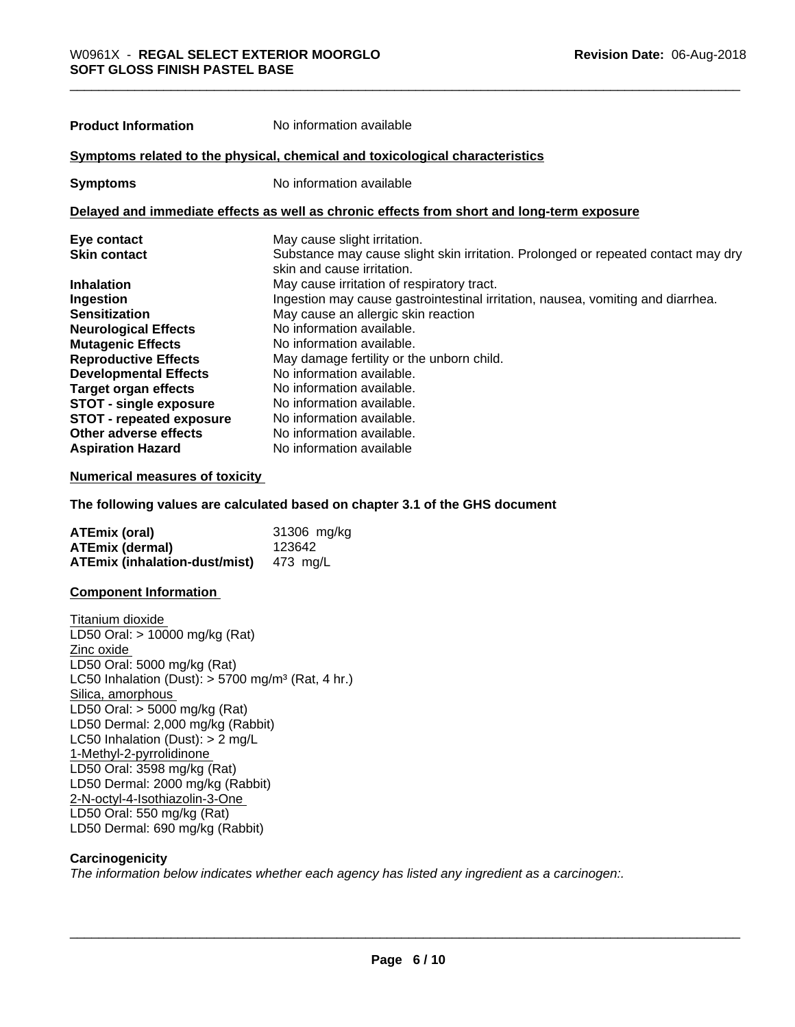**Product Information** No information available

**Target organ effects** No information available.<br> **STOT - single exposure** No information available.

**STOT - repeated exposure** No information available.

| Symptoms related to the physical, chemical and toxicological characteristics |                                                                                                                 |  |
|------------------------------------------------------------------------------|-----------------------------------------------------------------------------------------------------------------|--|
| <b>Symptoms</b>                                                              | No information available                                                                                        |  |
|                                                                              | Delayed and immediate effects as well as chronic effects from short and long-term exposure                      |  |
| Eye contact                                                                  | May cause slight irritation.                                                                                    |  |
| <b>Skin contact</b>                                                          | Substance may cause slight skin irritation. Prolonged or repeated contact may dry<br>skin and cause irritation. |  |
| <b>Inhalation</b>                                                            | May cause irritation of respiratory tract.                                                                      |  |
| Ingestion                                                                    | Ingestion may cause gastrointestinal irritation, nausea, vomiting and diarrhea.                                 |  |
| <b>Sensitization</b>                                                         | May cause an allergic skin reaction                                                                             |  |
| <b>Neurological Effects</b>                                                  | No information available.                                                                                       |  |
| <b>Mutagenic Effects</b>                                                     | No information available.                                                                                       |  |
| <b>Reproductive Effects</b>                                                  | May damage fertility or the unborn child.                                                                       |  |
| <b>Developmental Effects</b>                                                 | No information available.                                                                                       |  |
| Target organ effects                                                         | No information available.                                                                                       |  |

## **Other adverse effects** No information available.<br> **Aspiration Hazard** No information available **No information available**

#### **Numerical measures of toxicity**

**STOT** - single exposure

**The following values are calculated based on chapter 3.1 of the GHS document**

| <b>ATEmix (oral)</b>                                    | 31306 mg/kg |
|---------------------------------------------------------|-------------|
| <b>ATEmix (dermal)</b>                                  | 123642      |
| <b>ATEmix (inhalation-dust/mist)</b> $473 \text{ mg/L}$ |             |

#### **Component Information**

Titanium dioxide LD50 Oral: > 10000 mg/kg (Rat) Zinc oxide LD50 Oral: 5000 mg/kg (Rat) LC50 Inhalation (Dust):  $> 5700$  mg/m<sup>3</sup> (Rat, 4 hr.) Silica, amorphous LD50 Oral: > 5000 mg/kg (Rat) LD50 Dermal: 2,000 mg/kg (Rabbit) LC50 Inhalation (Dust): > 2 mg/L 1-Methyl-2-pyrrolidinone LD50 Oral: 3598 mg/kg (Rat) LD50 Dermal: 2000 mg/kg (Rabbit) 2-N-octyl-4-Isothiazolin-3-One LD50 Oral: 550 mg/kg (Rat) LD50 Dermal: 690 mg/kg (Rabbit)

#### **Carcinogenicity**

*The information below indicateswhether each agency has listed any ingredient as a carcinogen:.*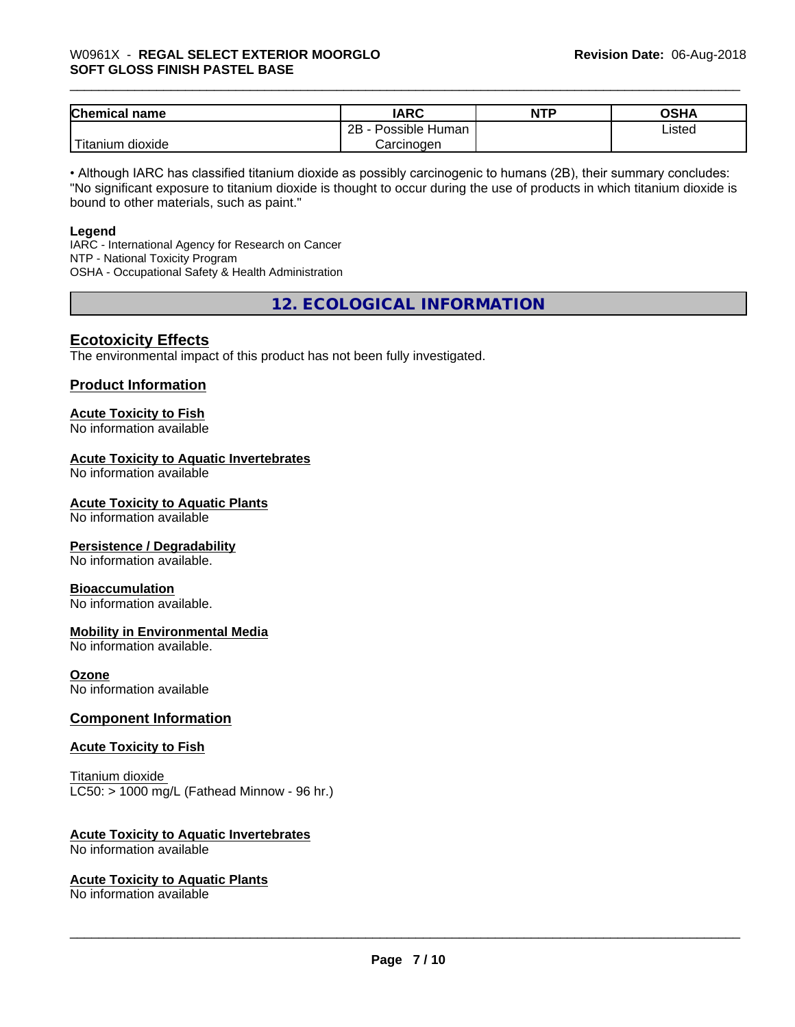## \_\_\_\_\_\_\_\_\_\_\_\_\_\_\_\_\_\_\_\_\_\_\_\_\_\_\_\_\_\_\_\_\_\_\_\_\_\_\_\_\_\_\_\_\_\_\_\_\_\_\_\_\_\_\_\_\_\_\_\_\_\_\_\_\_\_\_\_\_\_\_\_\_\_\_\_\_\_\_\_\_\_\_\_\_\_\_\_\_\_\_\_\_ W0961X - **REGAL SELECT EXTERIOR MOORGLO SOFT GLOSS FINISH PASTEL BASE**

| <b>Chemical name</b>           | <b>IARC</b>                      | <b>NTP</b> | ∩ເມ∧<br>∪אח |
|--------------------------------|----------------------------------|------------|-------------|
|                                | . .<br>2B<br>: Human<br>Possible |            | Listed      |
| .<br>dioxide<br><b>itanium</b> | Carcinogen                       |            |             |

• Although IARC has classified titanium dioxide as possibly carcinogenic to humans (2B), their summary concludes: "No significant exposure to titanium dioxide is thought to occur during the use of products in which titanium dioxide is bound to other materials, such as paint."

#### **Legend**

IARC - International Agency for Research on Cancer NTP - National Toxicity Program OSHA - Occupational Safety & Health Administration

**12. ECOLOGICAL INFORMATION**

#### **Ecotoxicity Effects**

The environmental impact of this product has not been fully investigated.

#### **Product Information**

## **Acute Toxicity to Fish**

No information available

#### **Acute Toxicity to Aquatic Invertebrates**

No information available

#### **Acute Toxicity to Aquatic Plants**

No information available

#### **Persistence / Degradability**

No information available.

#### **Bioaccumulation**

No information available.

#### **Mobility in Environmental Media**

No information available.

#### **Ozone**

No information available

#### **Component Information**

#### **Acute Toxicity to Fish**

Titanium dioxide  $LC50:$  > 1000 mg/L (Fathead Minnow - 96 hr.)

#### **Acute Toxicity to Aquatic Invertebrates**

No information available

#### **Acute Toxicity to Aquatic Plants**

No information available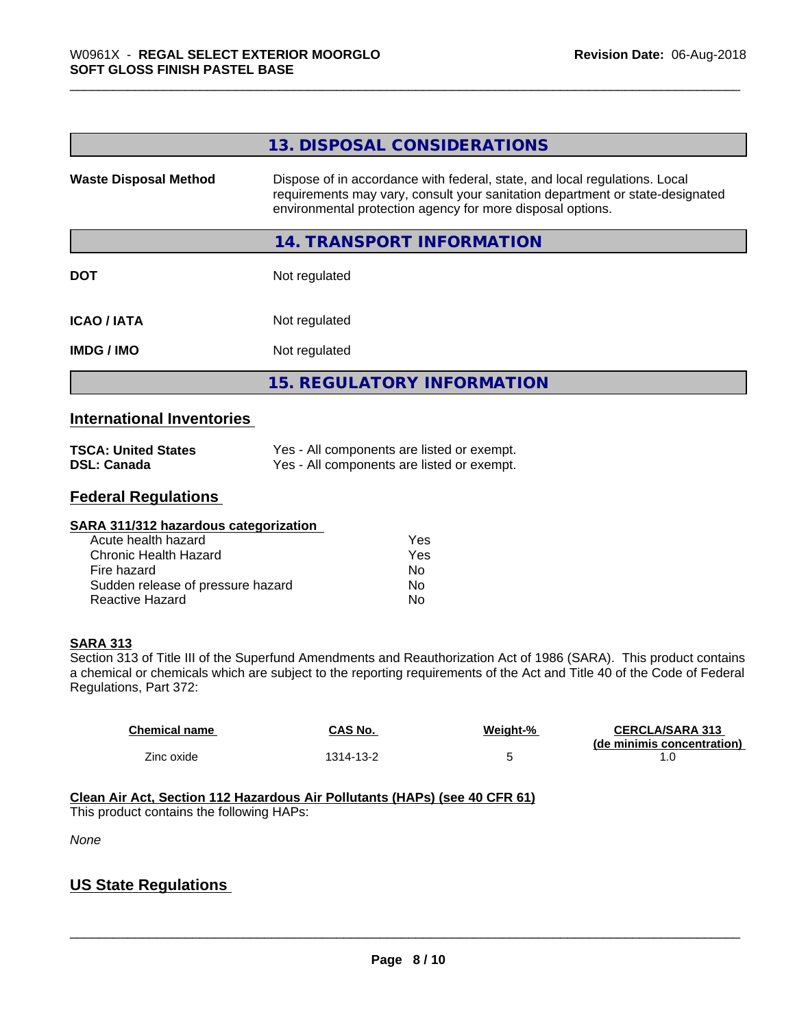|                              | 13. DISPOSAL CONSIDERATIONS                                                                                                                                                                                               |
|------------------------------|---------------------------------------------------------------------------------------------------------------------------------------------------------------------------------------------------------------------------|
| <b>Waste Disposal Method</b> | Dispose of in accordance with federal, state, and local regulations. Local<br>requirements may vary, consult your sanitation department or state-designated<br>environmental protection agency for more disposal options. |
|                              | 14. TRANSPORT INFORMATION                                                                                                                                                                                                 |
| <b>DOT</b>                   | Not regulated                                                                                                                                                                                                             |
| <b>ICAO / IATA</b>           | Not regulated                                                                                                                                                                                                             |
| <b>IMDG / IMO</b>            | Not regulated                                                                                                                                                                                                             |
|                              | <b>15. REGULATORY INFORMATION</b>                                                                                                                                                                                         |

#### **International Inventories**

| <b>TSCA: United States</b> | Yes - All components are listed or exempt. |
|----------------------------|--------------------------------------------|
| <b>DSL: Canada</b>         | Yes - All components are listed or exempt. |

### **Federal Regulations**

| SARA 311/312 hazardous categorization |     |
|---------------------------------------|-----|
| Acute health hazard                   | Yes |
| Chronic Health Hazard                 | Yes |
| Fire hazard                           | No  |
| Sudden release of pressure hazard     | No  |
| Reactive Hazard                       | No  |

#### **SARA 313**

Section 313 of Title III of the Superfund Amendments and Reauthorization Act of 1986 (SARA). This product contains a chemical or chemicals which are subject to the reporting requirements of the Act and Title 40 of the Code of Federal Regulations, Part 372:

| Chemical name | CAS No.   | Weight-% | <b>CERCLA/SARA 313</b>     |
|---------------|-----------|----------|----------------------------|
|               |           |          | (de minimis concentration) |
| Zinc oxide    | 1314-13-2 |          |                            |

**Clean Air Act,Section 112 Hazardous Air Pollutants (HAPs) (see 40 CFR 61)**

This product contains the following HAPs:

*None*

## **US State Regulations**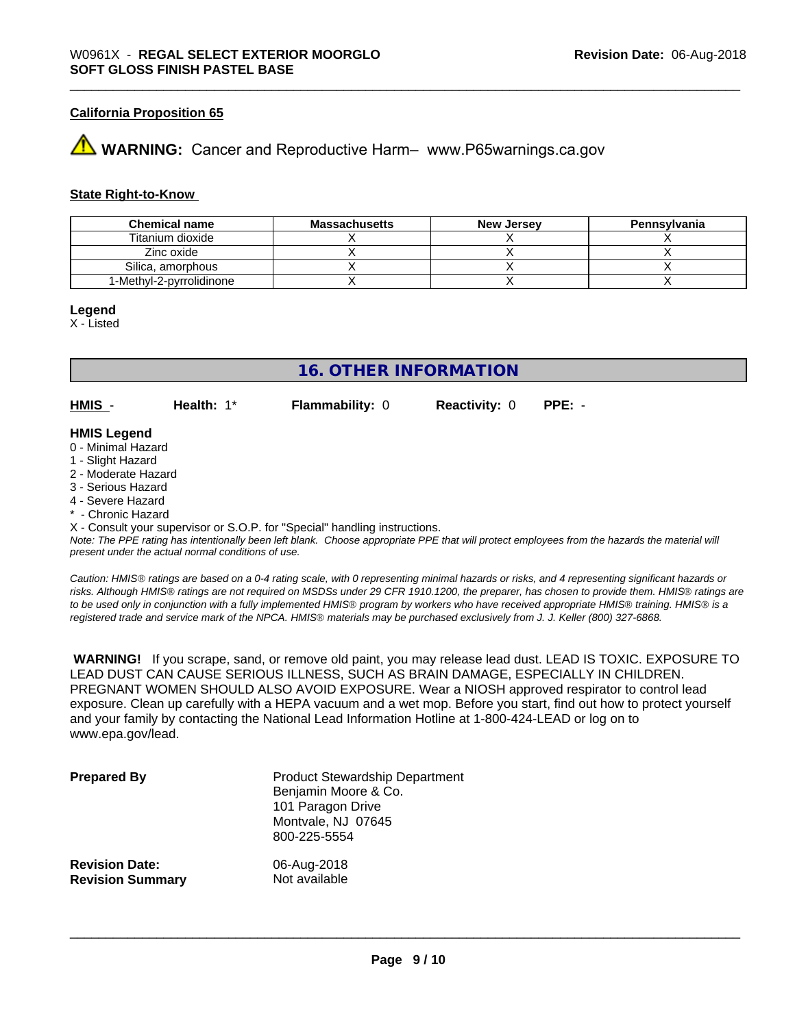#### **California Proposition 65**

## **WARNING:** Cancer and Reproductive Harm– www.P65warnings.ca.gov

#### **State Right-to-Know**

| <b>Chemical name</b>     | <b>Massachusetts</b> | <b>New Jersey</b> | Pennsylvania |
|--------------------------|----------------------|-------------------|--------------|
| Titanium dioxide         |                      |                   |              |
| Zinc oxide               |                      |                   |              |
| Silica, amorphous        |                      |                   |              |
| 1-Methyl-2-pyrrolidinone |                      |                   |              |

#### **Legend**

X - Listed

## **16. OTHER INFORMATION**

**HMIS** - **Health:** 1\* **Flammability:** 0 **Reactivity:** 0 **PPE:** -

#### **HMIS Legend**

- 0 Minimal Hazard
- 1 Slight Hazard
- 2 Moderate Hazard
- 3 Serious Hazard
- 4 Severe Hazard
- \* Chronic Hazard

X - Consult your supervisor or S.O.P. for "Special" handling instructions.

*Note: The PPE rating has intentionally been left blank. Choose appropriate PPE that will protect employees from the hazards the material will present under the actual normal conditions of use.*

*Caution: HMISÒ ratings are based on a 0-4 rating scale, with 0 representing minimal hazards or risks, and 4 representing significant hazards or risks. Although HMISÒ ratings are not required on MSDSs under 29 CFR 1910.1200, the preparer, has chosen to provide them. HMISÒ ratings are to be used only in conjunction with a fully implemented HMISÒ program by workers who have received appropriate HMISÒ training. HMISÒ is a registered trade and service mark of the NPCA. HMISÒ materials may be purchased exclusively from J. J. Keller (800) 327-6868.*

 **WARNING!** If you scrape, sand, or remove old paint, you may release lead dust. LEAD IS TOXIC. EXPOSURE TO LEAD DUST CAN CAUSE SERIOUS ILLNESS, SUCH AS BRAIN DAMAGE, ESPECIALLY IN CHILDREN. PREGNANT WOMEN SHOULD ALSO AVOID EXPOSURE.Wear a NIOSH approved respirator to control lead exposure. Clean up carefully with a HEPA vacuum and a wet mop. Before you start, find out how to protect yourself and your family by contacting the National Lead Information Hotline at 1-800-424-LEAD or log on to www.epa.gov/lead.

| <b>Prepared By</b>      | <b>Product Stewardship Department</b><br>Benjamin Moore & Co.<br>101 Paragon Drive<br>Montvale, NJ 07645<br>800-225-5554 |
|-------------------------|--------------------------------------------------------------------------------------------------------------------------|
| <b>Revision Date:</b>   | 06-Aug-2018                                                                                                              |
| <b>Revision Summary</b> | Not available                                                                                                            |